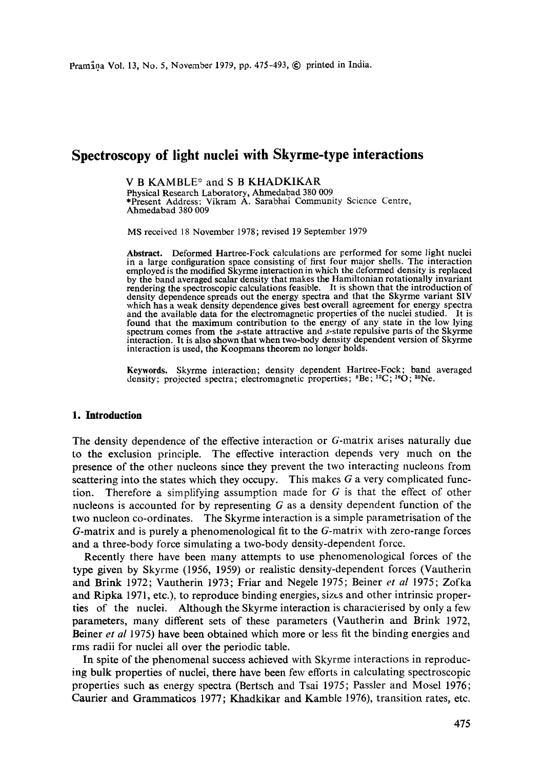# **Spectroscopy of light nuclei with Skyrme-type interactions**

V B KAMBLE\* and S B KHADKIKAR Physical Research Laboratory, Ahmedabad 380 009 \*Present Address: Vikram A. Sarabhai Community Science Centre, Ahmedabad 380 009

MS received 18 November 1978; revised 19 September 1979

Abstract. Deformed Hartree-Fock calculations are performed for some light nuclei in a large configuration space consisting of first four major shells. The interaction employed is the modified Skyrme interaction in which the deformed density is replaced by the band averaged scalar density that makes the Hamiltonian rotationally invariant rendering the spectroscopic calculations feasible. It is shown that the introduction of density dependence spreads out the energy spectra and that the Skyrme variant SIV which has a weak density dependence gives best overall agreement for energy spectra and the available data for the electromagnetic properties of the nuclei studied. It is found that the maximum contribution to the energy of any state in the low lying spectrum comes from the s-state attractive and s-state repulsive parts of the Skyrme interaction. It is also shown that when two-body density dependent version of Skyrme interaction is used, the Koopmans theorem no longer holds.

Keywords. Skyrme interaction; density dependent Hartree-Fock; band averaged density; projected spectra; electromagnetic properties; <sup>8</sup>Be; <sup>12</sup>C; <sup>16</sup>O; <sup>20</sup>Ne.

## **1. Introduction**

The density dependence of the effective interaction or G-matrix arises naturally due to the exclusion principle. The effective interaction depends very much on the presence of the other nucleons since they prevent the two interacting nucleons from scattering into the states which they occupy. This makes  $G$  a very complicated function. Therefore a simplifying assumption made for  $G$  is that the effect of other nucleons is accounted for by representing  $G$  as a density dependent function of the two nucleon co-ordinates. The Skyrme interaction is a simple parametrisation of the G-matrix and is purely a phenomenological fit to the G-matrix with zero-range forces and a three-body force simulating a two-body density-dependent force.

Recently there have been many attempts to use phenomenological forces of the type given by Skyrme (1956, 1959) or realistic density-dependent forces (Vautherin and Brink 1972; Vautherin 1973; Friar and Negele 1975; Beiner *et al* 1975; Zofka and Ripka 1971, etc.), to reproduce binding energies, sizes and other intrinsic properties of the nuclei. Although the Skyrme interaction is characterised by only a few parameters, many different sets of these parameters (Vautherin and Brink 1972, Beiner *et al* 1975) have been obtained which more or less fit the binding energies and rms radii for nuclei all over the periodic table.

In spite of the phenomenal success achieved with Skyrme interactions in reproducing bulk properties of nuclei, there have been few efforts in calculating spectroscopic properties such as energy spectra (Bertsch and Tsai 1975; Passler and Mosel 1976; Caurier and Grammaticos 1977; Khadkikar and Kamble 1976), transition rates, etc.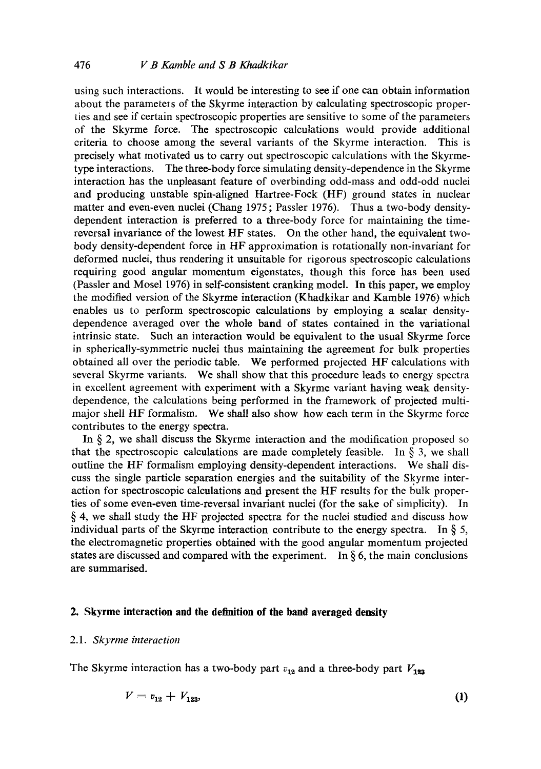using such interactions. It would be interesting to see if one can obtain information about the parameters of the Skyrme interaction by calculating spectroscopic properties and see if certain spectroscopic properties are sensitive to some of the parameters of the Skyrme force. The spectroscopic calculations would provide additional criteria to choose among the several variants of the Skyrme interaction. This is precisely what motivated us to carry out spectroscopic calculations with the Skyrmetype interactions. The three-body force simulating density-dependence in the Skyrme interaction has the unpleasant feature of overbinding odd-mass and odd-odd nuclei and producing unstable spin-aligned Hartree-Fock (HF) ground states in nuclear matter and even-even nuclei (Chang 1975, Passler 1976). Thus a two-body densitydependent interaction is preferred to a three-body force for maintaining the timereversal invariance of the lowest HF states. On the other hand, the equivalent twobody density-dependent force in HF approximation is rotationally non-invariant for deformed nuclei, thus rendering it unsuitable for rigorous spectroscopic calculations requiring good angular momentum eigenstates, though this force has been used (Passler and Mosel 1976) in self-consistent cranking model. In this paper, we employ the modified version of the Skyrme interaction (Khadkikar and Kamble 1976) which enables us to perform spectroscopic calculations by employing a scalar densitydependence averaged over the whole band of states contained in the variational intrinsic state. Such an interaction would be equivalent to the usual Skyrme force in spherically-symmetric nuclei thus maintaining the agreement for bulk properties obtained all over the periodic table. We performed projected HF calculations with several Skyrme variants. We shall show that this procedure leads to energy spectra in excellent agreement with experiment with a Skyrme variant having weak densitydependence, the calculations being performed in the framework of projected multimajor shell HF formalism. We shall also show how each term in the Skyrme force contributes to the energy spectra.

In  $\S$  2, we shall discuss the Skyrme interaction and the modification proposed so that the spectroscopic calculations are made completely feasible. In  $\S$  3, we shall outline the HF formalism employing density-dependent interactions. We shall discuss the single particle separation energies and the suitability of the Skyrme interaction for spectroscopic calculations and present the HF results for the bulk properties of some even-even time-reversal invariant nuclei (for the sake of simplicity). In § 4, we shall study the HF projected spectra for the nuclei studied and discuss how individual parts of the Skyrme interaction contribute to the energy spectra. In  $\S$  5, the electromagnetic properties obtained with the good angular momentum projected states are discussed and compared with the experiment. In  $\S 6$ , the main conclusions are summarised.

#### **2. Skyrme interaction and the definition of the band averaged density**

## *2.1. Skyrme interaction*

The Skyrme interaction has a two-body part  $v_{12}$  and a three-body part  $V_{123}$ 

$$
V = v_{12} + V_{123}, \tag{1}
$$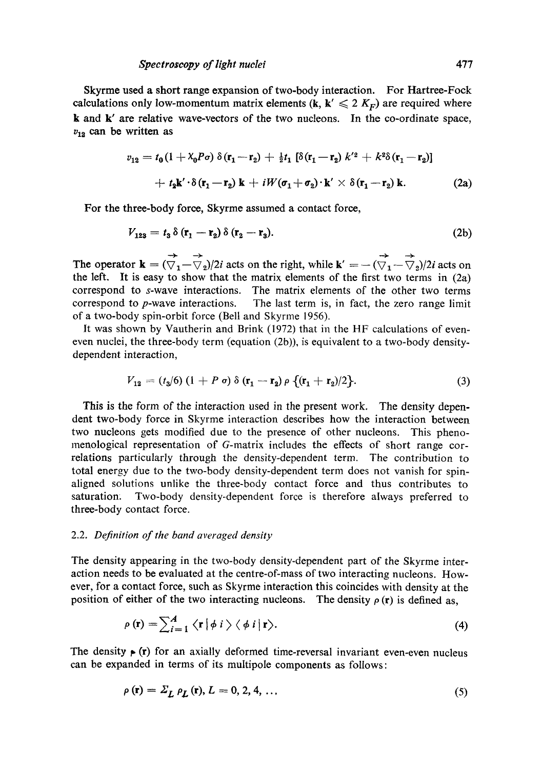Skyrme used a short range expansion of two-body interaction. For Hartree-Fock calculations only low-momentum matrix elements (k,  $k' \le 2 K_F$ ) are required where k and k' are relative wave-vectors of the two nucleons. In the co-ordinate space,  $v_{12}$  can be written as

$$
v_{12} = t_0 \left(1 + \lambda_0 P \sigma \right) \delta\left(\mathbf{r}_1 - \mathbf{r}_2\right) + \frac{1}{2} t_1 \left[ \delta\left(\mathbf{r}_1 - \mathbf{r}_2\right) k'^2 + k^2 \delta\left(\mathbf{r}_1 - \mathbf{r}_2\right) \right]
$$
  
+ 
$$
t_2 \mathbf{k}' \cdot \delta\left(\mathbf{r}_1 - \mathbf{r}_2\right) \mathbf{k} + i W (\sigma_1 + \sigma_2) \cdot \mathbf{k}' \times \delta\left(\mathbf{r}_1 - \mathbf{r}_2\right) \mathbf{k}.
$$
 (2a)

For the three-body force, Skyrme assumed a contact force,

$$
V_{123} = t_3 \delta \left( \mathbf{r}_1 - \mathbf{r}_2 \right) \delta \left( \mathbf{r}_2 - \mathbf{r}_3 \right). \tag{2b}
$$

The operator  $\mathbf{k} = (\overrightarrow{\nabla}_1 - \overrightarrow{\nabla}_2)/2i$  acts on the right, while  $\mathbf{k}' = -(\overrightarrow{\nabla}_1 - \overrightarrow{\nabla}_2)/2i$  acts on the left. It is easy to show that the matrix elements of the first two terms in (2a) correspond to s-wave interactions. The matrix elements of the other two terms correspond to p-wave interactions. The last term is, in fact, the zero range limit of a two-body spin-orbit force (Bell and Skyrme 1956).

It was shown by Vautherin and Brink (1972) that in the HF calculations of eveneven nuclei, the three-body term (equation (2b)), is equivalent to a two-body densitydependent interaction,

$$
V_{12} = (t_3/6) (1 + P \sigma) \delta (\mathbf{r}_1 - \mathbf{r}_2) \rho \{ (\mathbf{r}_1 + \mathbf{r}_2)/2 \}.
$$
 (3)

This is the form of the interaction used in the present work. The density dependent two-body force in Skyrme interaction describes how the interaction between two nucleons gets modified due to the presence of other nucleons. This phenomenological representation of G-matrix includes the effects of short range correlations particularly through the density-dependent term. The contribution to total energy due to the two-body density-dependent term does not vanish for spinaligned solutions unlike the three-body contact force and thus contributes to saturation. Two-body density-dependent force is therefore always preferred to three-body contact force.

#### 2.2. *Definition of the band averaged density*

The density appearing in the two-body density-dependent part of the Skyrme interaction needs to be evaluated at the centre-of-mass of two interacting nucleons. However, for a contact force, such as Skyrme interaction this coincides with density at the position of either of the two interacting nucleons. The density  $\rho(\mathbf{r})$  is defined as,

$$
\rho(\mathbf{r}) = \sum_{i=1}^{A} \langle \mathbf{r} | \phi \, i \rangle \langle \phi \, i | \mathbf{r} \rangle. \tag{4}
$$

The density  $\triangleright$  (r) for an axially deformed time-reversal invariant even-even nucleus can be expanded in terms of its multipole components as follows:

$$
\rho(\mathbf{r}) = \Sigma_L \rho_L(\mathbf{r}), L = 0, 2, 4, \dots \tag{5}
$$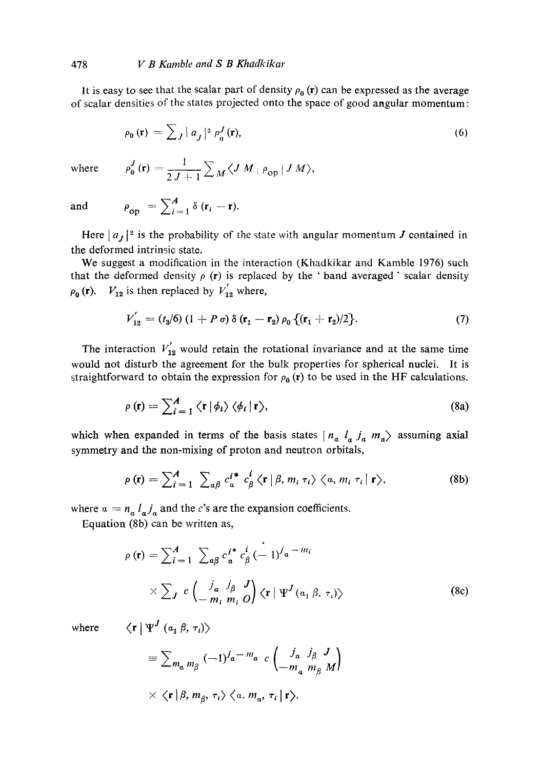It is easy to see that the scalar part of density  $\rho_0$  (r) can be expressed as the average of scalar densities of the states projected onto the space of good angular momentum:

$$
\rho_0(\mathbf{r}) = \sum_j |a_j|^2 \rho_0^J(\mathbf{r}), \qquad (6)
$$

where 
$$
\rho_0^J(\mathbf{r}) = \frac{1}{2J+1} \sum_M \langle J M | \rho_{op} | J M \rangle
$$
,

and  $\rho_{\text{on}} = \sum_{i=1}^{A} \delta(\mathbf{r}_i - \mathbf{r}).$ 

Here  $|a_J|^2$  is the probability of the state with angular momentum J contained in the deformed intrinsic state.

We suggest a modification in the interaction (Khadkikar and Kamble 1976) such that the deformed density  $\rho$  (r) is replaced by the 'band averaged' scalar density  $\rho_0$  (r).  $V_{12}$  is then replaced by  $V_{12}$  where,

$$
V'_{12} = (t_3/6) (1 + P \sigma) \delta (\mathbf{r}_1 - \mathbf{r}_2) \rho_0 \{ (\mathbf{r}_1 + \mathbf{r}_2)/2 \}.
$$
 (7)

The interaction  $V_{12}^{'}$  would retain the rotational invariance and at the same time would not disturb the agreement for the bulk properties for spherical nuclei. It is straightforward to obtain the expression for  $\rho_0$  (r) to be used in the HF calculations.

$$
\rho(\mathbf{r}) = \sum_{i=1}^{A} \langle \mathbf{r} | \phi_i \rangle \langle \phi_i | \mathbf{r} \rangle, \tag{8a}
$$

which when expanded in terms of the basis states  $|n_a l_a j_a m_a\rangle$  assuming axial symmetry and the non-mixing of proton and neutron orbitals,

$$
\rho(\mathbf{r}) = \sum_{i=1}^{A} \sum_{a\beta} c_a^{i*} c_\beta^i \langle \mathbf{r} | \beta, m_i \tau_i \rangle \langle a, m_i \tau_i | \mathbf{r} \rangle, \tag{8b}
$$

where  $\alpha = n_a l_a j_a$  and the c's are the expansion coefficients.

Equation (8b) can be written as,

$$
\rho(\mathbf{r}) = \sum_{i=1}^{A} \sum_{a\beta} c_a^{i*} c_\beta^i \left(-1\right)^{j_a - m_i}
$$
  
 
$$
\times \sum_{J} c \left( \frac{j_a}{-m_i} \frac{j_\beta}{m_i} \frac{J}{O} \right) \langle \mathbf{r} | \Psi^J(a_1 \beta, \tau_i) \rangle \tag{8c}
$$

where  $\langle \mathbf{r} | \Psi^J (a_1 \beta, \tau_i) \rangle$ 

$$
\begin{aligned}\n&= \sum_{m_a m_\beta} (-1)^{j_a - m_a} c \begin{pmatrix} j_a & j_\beta & J \\ -m_a & m_\beta & M \end{pmatrix} \\
& \times \langle \mathbf{r} | \beta, m_\beta, \tau_i \rangle \langle \alpha, m_a, \tau_i | \mathbf{r} \rangle.\n\end{aligned}
$$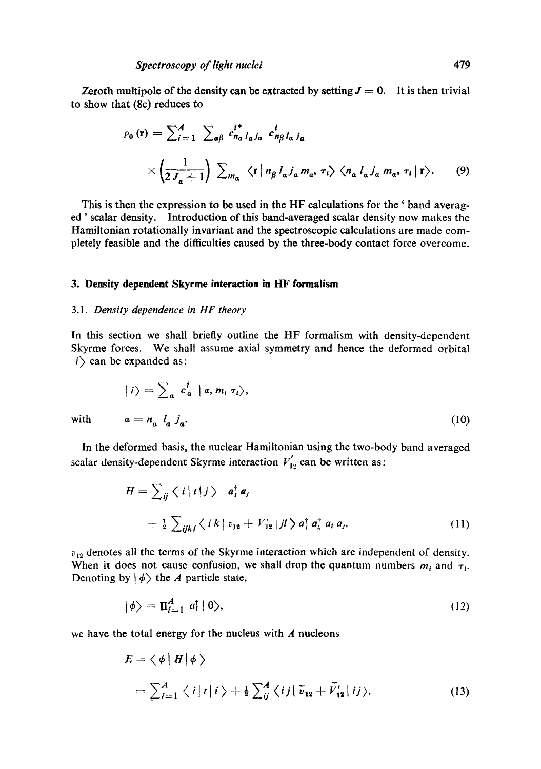Zeroth multipole of the density can be extracted by setting  $J = 0$ . It is then trivial to show that (8c) reduces to

$$
\rho_0(\mathbf{r}) = \sum_{i=1}^A \sum_{a\beta} c_{n_a}^{i*} l_{a} j_a \ c_{n_\beta}^{i} l_{a} j_a
$$

$$
\times \left( \frac{1}{2J_a + 1} \right) \sum_{m_a} \langle \mathbf{r} | n_\beta l_a j_a m_a, \tau_i \rangle \langle n_a l_a j_a m_a, \tau_i | \mathbf{r} \rangle. \tag{9}
$$

This is then the expression to be used in the HF calculations for the ' band averaged' scalar density. Introduction of this band-averaged scalar density now makes the Hamiltonian rotationally invariant and the spectroscopic calculations are made completely feasible and the difficulties caused by the three-body contact force overcome.

#### **3. Density dependent Skyrme interaction in HF formalism**

## *3.1. Density dependence in HF theory*

In this section we shall briefly outline the HF formalism with density-dependent Skyrme forces. We shall assume axial symmetry and hence the deformed orbital  $i$  can be expanded as:

$$
|i\rangle = \sum_{a} c_{a}^{i} |a, m_{i} \tau_{i}\rangle,
$$
  
with 
$$
a = n_{a} l_{a} j_{a}.
$$
 (10)

In the deformed basis, the nuclear Hamiltonian using the two-body band averaged scalar density-dependent Skyrme interaction  $V'_{12}$  can be written as:

$$
H = \sum_{ij} \langle i | t | j \rangle \quad a_i^{\dagger} a_j
$$
  
+  $\frac{1}{2} \sum_{ijkl} \langle i k | v_{12} + V'_{12} | j l \rangle a_i^{\dagger} a_k^{\dagger} a_l a_j,$  (11)

 $v_{12}$  denotes all the terms of the Skyrme interaction which are independent of density. When it does not cause confusion, we shall drop the quantum numbers  $m_i$  and  $\tau_i$ . Denoting by  $|\phi\rangle$  the A particle state,

$$
|\phi\rangle = \Pi_{i=1}^A \ a_i^{\dagger} |0\rangle, \qquad (12)
$$

we have the total energy for the nucleus with  $A$  nucleons

$$
E = \langle \phi | H | \phi \rangle
$$
  
=  $\sum_{i=1}^{A} \langle i | t | i \rangle + \frac{1}{2} \sum_{ij}^{A} \langle ij | \tilde{v}_{12} + \tilde{V}_{12} | ij \rangle,$  (13)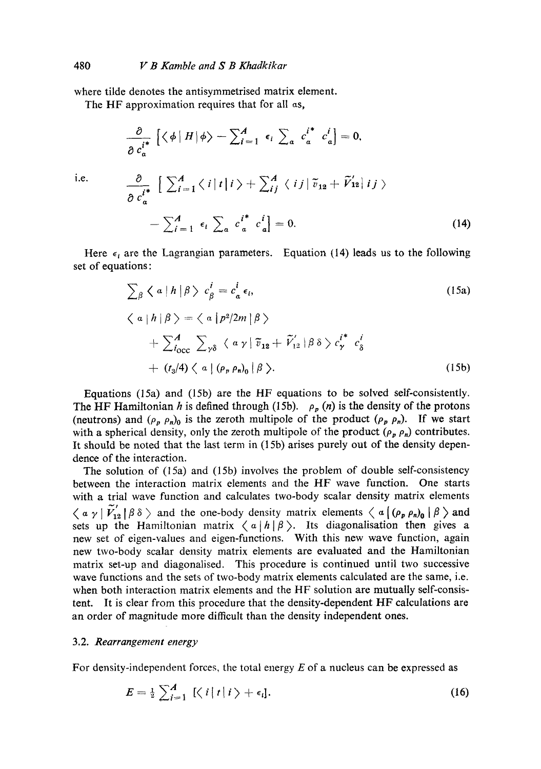where tilde denotes the antisymmetrised matrix element.

The HF approximation requires that for all as,

$$
\frac{\partial}{\partial c_a^{i^*}} \left[ \langle \phi | H | \phi \rangle - \sum_{i=1}^A \epsilon_i \sum_a c_a^{i^*} c_a^i \right] = 0,
$$
  

$$
\frac{\partial}{\partial c_a^{i^*}} \left[ \sum_{i=1}^A \langle i | t | i \rangle + \sum_{i}^A \langle i | j | \tilde{v}_{12} + \tilde{V}_{12} | i j \rangle \right]
$$
  

$$
- \sum_{i=1}^A \epsilon_i \sum_a c_a^{i^*} c_a^i \right] = 0.
$$
 (14)

Here  $\epsilon_i$  are the Lagrangian parameters. Equation (14) leads us to the following set of equations:

$$
\sum_{\beta} \langle a | h | \beta \rangle c_{\beta}^{i} = c_{a}^{i} \epsilon_{i},
$$
\n
$$
\langle a | h | \beta \rangle = \langle a | p^{2} / 2m | \beta \rangle
$$
\n
$$
+ \sum_{i_{\text{occ}}}^{A} \sum_{\gamma \delta} \langle a \gamma | \tilde{v}_{12} + \tilde{V}'_{12} | \beta \delta \rangle c_{\gamma}^{i^{*}} c_{\delta}^{i}
$$
\n
$$
+ (t_{3} / 4) \langle a | (\rho_{r} \rho_{n})_{0} | \beta \rangle.
$$
\n(15b)

Equations (15a) and (15b) are the HF equations to be solved self-consistently. The HF Hamiltonian h is defined through (15b).  $\rho_p(n)$  is the density of the protons (neutrons) and  $(\rho_p \rho_n)_0$  is the zeroth multipole of the product  $(\rho_p \rho_n)$ . If we start with a spherical density, only the zeroth multipole of the product  $(\rho_p \rho_n)$  contributes. It should be noted that the last term in (15b) arises purely out of the density dependence of the interaction.

The solution of (15a) and (15b) involves the problem of double self-consistency between the interaction matrix elements and the HF *wave* function. One starts with a trial wave function and calculates two-body scalar density matrix elements  $\langle \alpha \gamma | V_{12} | \beta \delta \rangle$  and the one-body density matrix elements  $\langle \alpha | (\rho_p \rho_n)_{0} | \beta \rangle$  and sets up the Hamiltonian matrix  $\langle a | h | \beta \rangle$ . Its diagonalisation then gives a new set of eigen-values and eigen-functions. With this new wave function, again new two-body scalar density matrix elements are evaluated and the Hamiltonian matrix set-up and diagonalised. This procedure is continued until two successive wave functions and the sets of two-body matrix elements calculated are the same, i.e. when both interaction matrix elements and the HF solution are mutually self-consistent. It is clear from this procedure that the density-dependent HF calculations are an order of magnitude more difficult than the density independent ones.

# 3.2. *Rearrangement energy*

For density-independent forces, the total energy  $E$  of a nucleus can be expressed as

$$
E = \frac{1}{2} \sum_{i=1}^{A} \left[ \left\langle i \left| t \right| i \right\rangle + \epsilon_i \right]. \tag{16}
$$

i.e.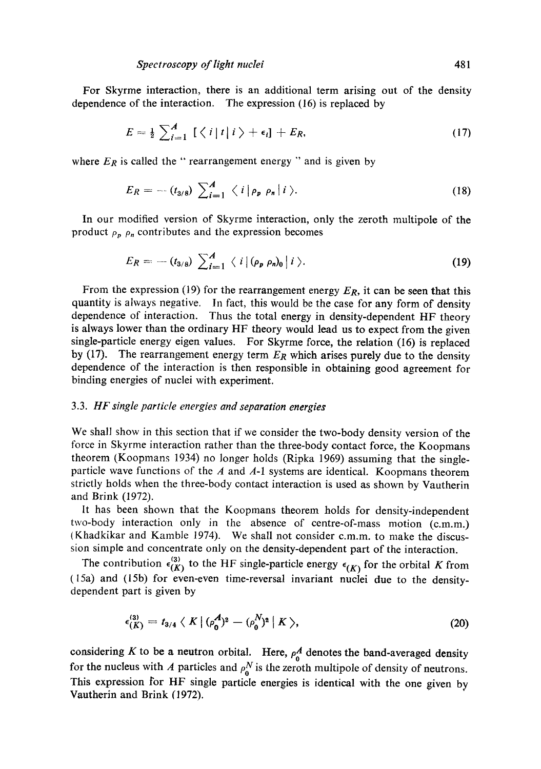For Skyrme interaction, there is an additional term arising out of the density dependence of the interaction. The expression (16) is replaced by

$$
E = \frac{1}{2} \sum_{i=1}^{A} \left[ \left\langle i \, \middle| \, i \right\rangle + \epsilon_i \right] + E_R, \tag{17}
$$

where  $E_R$  is called the " rearrangement energy " and is given by

$$
E_R = - (t_{3/8}) \sum_{i=1}^A \langle i | \rho_p \rho_n | i \rangle.
$$
 (18)

In our modified version of Skyrme interaction, only the zeroth multipole of the product  $\rho_p$   $\rho_n$  contributes and the expression becomes

$$
E_R = -(t_{3/8}) \sum_{i=1}^A \langle i | (\rho_p \rho_n)_0 | i \rangle.
$$
 (19)

From the expression (19) for the rearrangement energy *ER,* it can be seen that this quantity is always negative. In fact, this would be the case for any form of density dependence of interaction. Thus the total energy in density-dependent HF theory is always lower than the ordinary HF theory would lead us to expect from the given single-particle energy eigen values. For Skyrme force, the relation (16) is replaced by (17). The rearrangement energy term  $E_R$  which arises purely due to the density dependence of the interaction is then responsible in obtaining good agreement for binding energies of nuclei with experiment.

## 3.3. *HF single particle energies and separation energies*

We shall show in this section that if we consider the two-body density version of the force in Skyrme interaction rather than the three-body contact force, the Koopmans theorem (Koopmans 1934) no longer holds (Ripka 1969) assuming that the singleparticle wave functions of the  $A$  and  $A-1$  systems are identical. Koopmans theorem strictly holds when the three-body contact interaction is used as shown by Vautherin and Brink (1972).

It has been shown that the Koopmans theorem holds for density-independent two-body interaction only in the absence of centre-of-mass motion (c.m.m.) (Khadkikar and Kamble 1974). We shall not consider c.m.m, to make the discussion simple and concentrate only on the density-dependent part of the interaction.

The contribution  $\epsilon_{(K)}^{(3)}$  to the HF single-particle energy  $\epsilon_{(K)}$  for the orbital K from (15a) and (15b) for even-even time-reversal invariant nuclei due to the densitydependent part is given by

$$
\epsilon_{(K)}^{(3)} = t_{3/4} \langle K | (\rho_0^A)^2 - (\rho_0^N)^2 | K \rangle, \tag{20}
$$

considering K to be a neutron orbital. Here,  $\rho_0^A$  denotes the band-averaged density for the nucleus with A particles and  $\rho_0^N$  is the zeroth multipole of density of neutrons. This expression for HF single particle energies is identical with the one given by Vautherin and Brink (1972).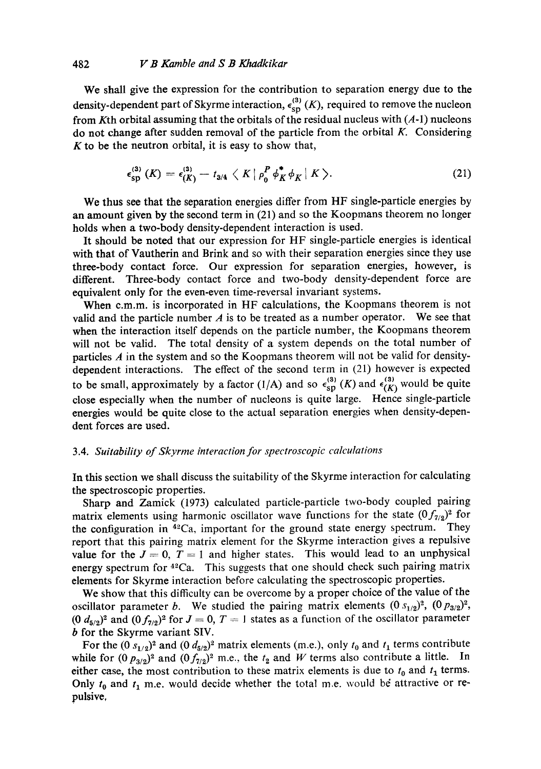## 482 *V B Kamble and S B Khadkikar*

We shall give the expression for the contribution to separation energy due to the density-dependent part of Skyrme interaction,  $\epsilon_{\text{sp}}^{(3)}$  (K), required to remove the nucleon from Kth orbital assuming that the orbitals of the residual nucleus with  $(A-1)$  nucleons do not change after sudden removal of the particle from the orbital  $K$ . Considering  $K$  to be the neutron orbital, it is easy to show that,

$$
\epsilon_{\rm sp}^{(3)}(K)=\epsilon_{(K)}^{(3)}-t_{3/4}\langle K| \rho_0^P\phi_K^*\phi_K|K\rangle. \qquad (21)
$$

We thus see that the separation energies differ from HF single-particle energies by an amount given by the second term in (21) and so the Koopmans theorem no longer holds when a two-body density-dependent interaction is used.

It should be noted that our expression for HF single-particle energies is identical with that of Vautherin and Brink and so with their separation energies since they use three-body contact force. Our expression for separation energies, however, is different. Three-body contact force and two-body density-dependent force are equivalent only for the even-even time-reversal invariant systems.

When c.m.m, is incorporated in HF calculations, the Koopmans theorem is not valid and the particle number  $A$  is to be treated as a number operator. We see that when the interaction itself depends on the particle number, the Koopmans theorem will not be valid. The total density of a system depends on the total number of particles  $A$  in the system and so the Koopmans theorem will not be valid for densitydependent interactions. The effect of the second term in (21) however is expected to be small, approximately by a factor (1/A) and so  $\epsilon_{\text{SD}}^{(3)}$  (K) and  $\epsilon_{(K)}^{(3)}$  would be quite close especially when the number of nucleons is quite large. Hence single-particle energies would be quite close to the actual separation energies when density-dependent forces are used.

# *3.4. Suitability of Skyrme interaction for spectroscopic calculations*

In this section we shall discuss the suitability of the Skyrme interaction for calculating the spectroscopic properties.

Sharp and Zamick (1973) calculated particle-particle two-body coupled pairing matrix elements using harmonic oscillator wave functions for the state  $(0f_{7/2})^2$  for the configuration in  $42Ca$ , important for the ground state energy spectrum. They report that this pairing matrix element for the Skyrme interaction gives a repulsive value for the  $J = 0$ ,  $T = 1$  and higher states. This would lead to an unphysical energy spectrum for  $42Ca$ . This suggests that one should check such pairing matrix elements for Skyrme interaction before calculating the spectroscopic properties.

We show that this difficulty can be overcome by a proper choice of the value of the oscillator parameter b. We studied the pairing matrix elements  $(0 s_{1/2})^2$ ,  $(0 p_{3/2})^2$ ,  $(0, d_{5/2})^2$  and  $(0, f_{7/2})^2$  for  $J = 0$ ,  $T = 1$  states as a function of the oscillator parameter b for the Skyrme variant SIV.

For the  $(0 s_{1/2})^2$  and  $(0 d_{5/2})^2$  matrix elements (m.e.), only  $t_0$  and  $t_1$  terms contribute while for  $(0, p_{3/2})^2$  and  $(0, f_{7/2})^2$  m.e., the  $t_2$  and W terms also contribute a little. In either case, the most contribution to these matrix elements is due to  $t_0$  and  $t_1$  terms. Only  $t_0$  and  $t_1$  m.e. would decide whether the total m.e. would be attractive or repulsive,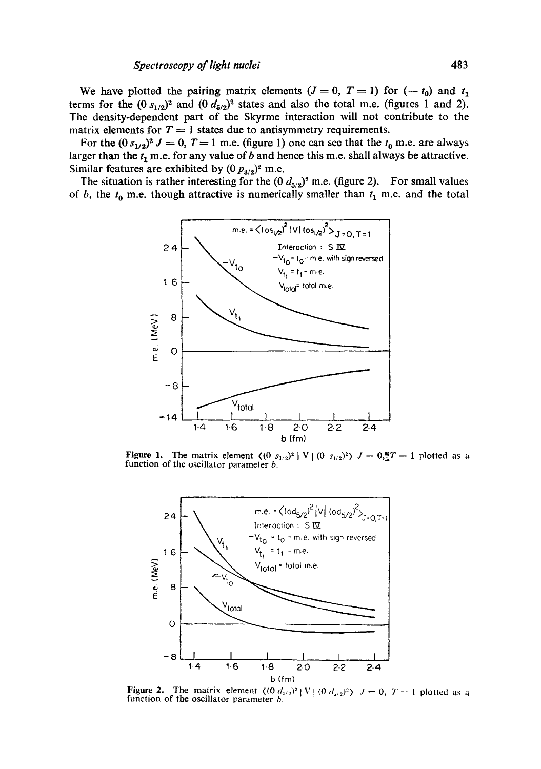We have plotted the pairing matrix elements  $(J = 0, T = 1)$  for  $(-t_0)$  and  $t_1$ terms for the  $(0 s_{1/2})^2$  and  $(0 d_{5/2})^2$  states and also the total m.e. (figures 1 and 2). **The density-dependent part of the Skyrme interaction will not contribute to the**  matrix elements for  $T = 1$  states due to antisymmetry requirements.

For the  $(0 s_{1/2})^2 J = 0$ ,  $T = 1$  m.e. (figure 1) one can see that the  $t_0$  m.e. are always larger than the  $t_1$  m.e. for any value of  $b$  and hence this m.e. shall always be attractive. Similar features are exhibited by  $(0 p_{3/2})^2$  m.e.

The situation is rather interesting for the  $(0 d_{5/2})^2$  m.e. (figure 2). For small values of b, the  $t_0$  m.e. though attractive is numerically smaller than  $t_1$  m.e. and the total



**Figure 1.** The matrix element  $\langle (0 s_{1/2})^2 | V | (0 s_{1/2})^2 \rangle J = 0.77 = 1$  plotted as a function of the oscillator parameter *b*.



**Figure 2.** The matrix element  $\langle (0, d_{5/2})^2 | V | (0, d_{5/2})^2 \rangle$   $J = 0$ ,  $T - 1$  plotted as a **function of the oscillator parameter** b,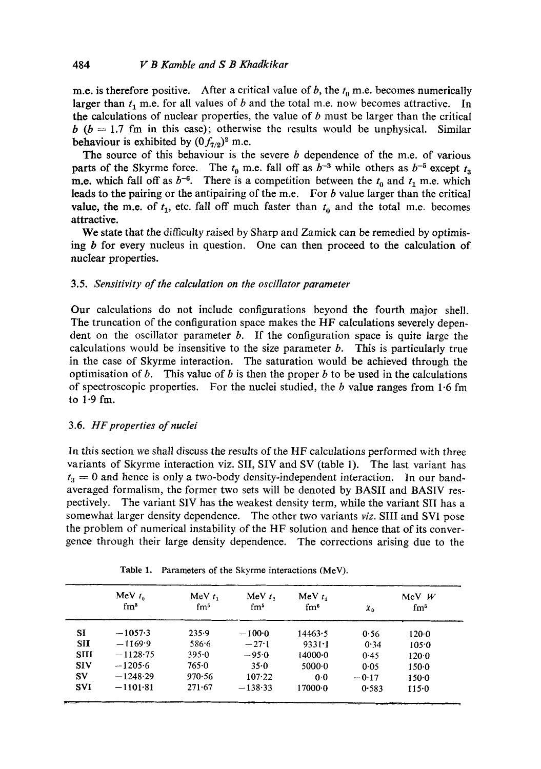m.e. is therefore positive. After a critical value of b, the  $t_0$  m.e. becomes numerically larger than  $t_1$  m.e. for all values of b and the total m.e. now becomes attractive. In **the** calculations of nuclear properties, the value of b must be larger than the critical  $b$  ( $b = 1.7$  fm in this case); otherwise the results would be unphysical. Similar behaviour is exhibited by  $(0f_{7/2})^2$  m.e.

The source of this behaviour is the severe  $b$  dependence of the m.e. of various parts of the Skyrme force. The  $t_0$  m.e. fall off as  $b^{-3}$  while others as  $b^{-5}$  except  $t_3$ m.e. which fall off as  $b^{-6}$ . There is a competition between the  $t_0$  and  $t_1$  m.e. which leads to the pairing or the antipairing of the m.e. For  $b$  value larger than the critical value, the m.e. of  $t_1$ , etc. fall off much faster than  $t_0$  and the total m.e. becomes attractive.

We state that the difficulty raised by Sharp and Zamick can be remedied by optimising  $b$  for every nucleus in question. One can then proceed to the calculation of nuclear properties.

# 3.5. *Sensitivity of the calculation on the oscillator parameter*

Our calculations do not include configurations beyond the fourth major shell. The truncation of the configuration space makes the HF calculations severely dependent on the oscillator parameter  $b$ . If the configuration space is quite large the calculations would be insensitive to the size parameter  $b$ . This is particularly true in the case of Skyrme interaction. The saturation would be achieved through the optimisation of b. This value of b is then the proper b to be used in the calculations of spectroscopic properties. For the nuclei studied, the  $b$  value ranges from 1.6 fm to 1.9 fm.

# 3.6. *HF properties of nuclei*

In this section we shall discuss the results of the HF calculations performed with three variants of Skyrme interaction viz. SII, SIV and SV (table 1). The last variant has  $t_3 = 0$  and hence is only a two-body density-independent interaction. In our bandaveraged formalism, the former two sets will be denoted by BASII and BASIV respectively. The variant SIV has the weakest density term, while the variant SII has a somewhat larger density dependence. The other two variants *viz.* SIII and SVI pose the problem of numerical instability of the HF solution and hence that of its convergence through their large density dependence. The corrections arising due to the

|             | MeV $t_0$  | MeV $t_1$  | $MeV$ $t2$      | MeV $t_{\rm A}$ |            | MeV $W$         |
|-------------|------------|------------|-----------------|-----------------|------------|-----------------|
|             | $\rm fm^3$ | $\rm fm^5$ | fm <sup>5</sup> | $\mathrm{fm}^6$ | $\chi_{0}$ | $\mathrm{fm}^5$ |
| SI          | $-1057.3$  | 235.9      | $-100.0$        | 14463.5         | 0.56       | 120.0           |
| <b>SII</b>  | $-1169.9$  | 586.6      | $-27.1$         | $9331 - 1$      | 0.34       | 105.0           |
| <b>SIII</b> | $-1128.75$ | $395 - 0$  | $-95.0$         | 1400000         | 0.45       | 120.0           |
| <b>SIV</b>  | $-1205.6$  | 765.0      | 35.0            | 50000           | 0.05       | $150 - 0$       |
| SV          | $-1248.29$ | 970.56     | 107.22          | 0 <sub>0</sub>  | $-0.17$    | $150 - 0$       |
| <b>SVI</b>  | $-1101.81$ | 271.67     | $-138.33$       | 17000-0         | 0.583      | $115 - 0$       |

Table **1.** Parameters of the Skyrme interactions **(MeV).**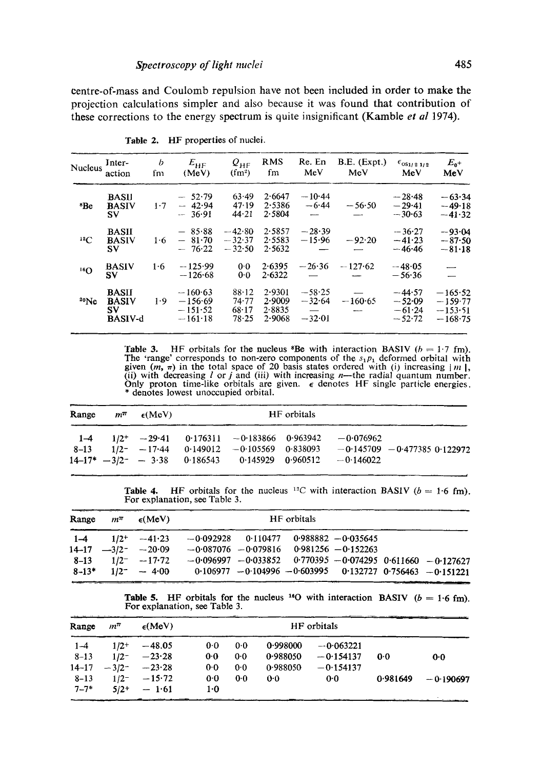centre-of-mass and Coulomb repulsion have not been included in order to make the projection calculations simpler and also because it was found that contribution of these corrections to the energy spectrum is quite insignificant (Kamble *et al* 1974).

| Nucleus         | Inter-<br>action                                      | b<br>fm | $E_{\rm HF}$<br>(MeV)                            | $\varrho_{\hbox{\tiny HF}}$<br>$(fm^2)$ | <b>RMS</b><br>fm                     | Re. En<br>MeV                    | B.E. (Expt.)<br>MeV | $\epsilon_{0S1/21/2}$<br>MeV                 | $E_{0}+$<br>MeV                                  |
|-----------------|-------------------------------------------------------|---------|--------------------------------------------------|-----------------------------------------|--------------------------------------|----------------------------------|---------------------|----------------------------------------------|--------------------------------------------------|
| <sup>8</sup> Be | <b>BASII</b><br><b>BASIV</b><br>SV                    | 1.7     | $-52.79$<br>$-42.94$<br>$-36.91$                 | 63.49<br>47.19<br>44.21                 | 2.6647<br>2.5386<br>2.5804           | $-10.44$<br>$-6.44$              | $-56.50$            | $-28.48$<br>$-29.41$<br>$-30.63$             | $-63.34$<br>$-49.18$<br>$-41.32$                 |
| $^{12}C$        | <b>BASII</b><br><b>BASIV</b><br>SV.                   | 1·6     | $-85.88$<br>$-81.70$<br>$-76.22$                 | $-42.80$<br>$-32.37$<br>$-32.50$        | 2.5857<br>2.5583<br>2.5632           | $-28.39$<br>$-15.96$             | $-92.20$            | $-36.27$<br>$-41.23$<br>$-46.46$             | $-93.04$<br>$-87.50$<br>$-81.18$                 |
| 16 <sub>O</sub> | <b>BASIV</b><br>SV                                    | 1.6     | $-125.99$<br>$-126.68$                           | 0.0<br>0.0                              | 2.6395<br>2.6322                     | $-26.36$                         | $-127.62$           | $-48.05$<br>$-56.36$                         |                                                  |
| 20Ne            | <b>BASII</b><br><b>BASIV</b><br>SV.<br><b>BASIV-d</b> | 1.9     | $-160.63$<br>$-156.69$<br>$-151.52$<br>$-161-18$ | 88.12<br>74.77<br>68.17<br>78.25        | 2.9301<br>2.9009<br>2.8835<br>2.9068 | $-58.25$<br>$-32.64$<br>$-32.01$ | $-160.65$           | $-44.57$<br>$-52.09$<br>$-61.24$<br>$-52.72$ | $-165.52$<br>$-159.77$<br>$-153.51$<br>$-168.75$ |

Table 2. HF properties of nuclei.

Table 3. HF orbitals for the nucleus <sup>8</sup>Be with interaction BASIV ( $b = 1.7$  fm). The 'range' corresponds to non-zero components of the  $s_1p_1$  deformed orbital with given  $(m, \pi)$  in the total space of 20 basis states ordered with (i) increasing  $|m|$ , (ii) with decreasing l or j and (iii) with increasing n—the radial quantum number. Only proton time-like orbitals are given.  $\epsilon$  denotes HF single particle energies. \* denotes lowest unoccupied orbital.

| Range | $m^{\pi}$ $\epsilon$ (MeV) |                                                         | HF orbitals |                                                                                                                                                    |                                 |
|-------|----------------------------|---------------------------------------------------------|-------------|----------------------------------------------------------------------------------------------------------------------------------------------------|---------------------------------|
|       |                            | $8-13$ $1/2$ $-17.44$ $0.149012$ $-0.105569$ $0.838093$ |             | $1-4$ $1/2$ <sup>+</sup> $-29.41$ $0.176311$ $-0.183866$ $0.963942$ $-0.076962$<br>$14-17^*$ $-3/2^ -$ 3·38 0·186543 0·145929 0·960512 $-0.146022$ | $-0.145709 - 0.477385 0.122972$ |

Table 4. HF orbitals for the nucleus <sup>12</sup>C with interaction BASIV ( $b = 1.6$  fm). For explanation, see Table 3.

|  | Range $m^{\pi}$ $\epsilon$ (MeV)               |                                                                   | HF orbitals |  |                                                                       |
|--|------------------------------------------------|-------------------------------------------------------------------|-------------|--|-----------------------------------------------------------------------|
|  |                                                | $1-4$ $1/2$ $-41.23$ $-0.092928$ 0.110477 0.988882 $-0.035645$    |             |  |                                                                       |
|  | $14-17$ $-3/2$ $-20.09$                        | $-0.087076 - 0.079816$ 0.981256 $-0.152263$                       |             |  |                                                                       |
|  | $8-13$ $1/2^ -17.72$<br>$8-13^*$ $1/2^ -$ 4.00 | $0.106977 - 0.104996 - 0.603995$ $0.132727$ $0.756463 - 0.151221$ |             |  | $-0.096997$ $-0.033852$ $0.770395$ $-0.074295$ $0.611660$ $-0.127627$ |

**Table 5.** HF orbitals for the nucleus <sup>16</sup>O with interaction BASIV ( $b = 1.6$  fm). For explanation, see Table 3.

| Range     | m™      | $\epsilon$ (MeV)             |                | HF orbitals    |          |             |          |             |
|-----------|---------|------------------------------|----------------|----------------|----------|-------------|----------|-------------|
| $1 - 4$   | $1/2+$  | $-48.05$                     | 0.0            | 0 <sub>0</sub> | 0.998000 | $-0.063221$ |          |             |
| $8 - 13$  | $1/2^-$ | $-23.28$                     | 0 <sub>0</sub> | 0.0            | 0.988050 | $-0.154137$ | 0.0      | 0.0         |
| $14 - 17$ |         | $-3/2$ <sup>-</sup> $-23.28$ | 0.0            | 0.0            | 0.988050 | $-0.154137$ |          |             |
| $8 - 13$  | $1/2^-$ | $-15.72$                     | 0.0            | 0.0            | $0-0$    | 0.0         | 0.981649 | $-0.190697$ |
| $7 - 7*$  | $5/2+$  | $-1.61$                      | $1-0$          |                |          |             |          |             |
|           |         |                              |                |                |          |             |          |             |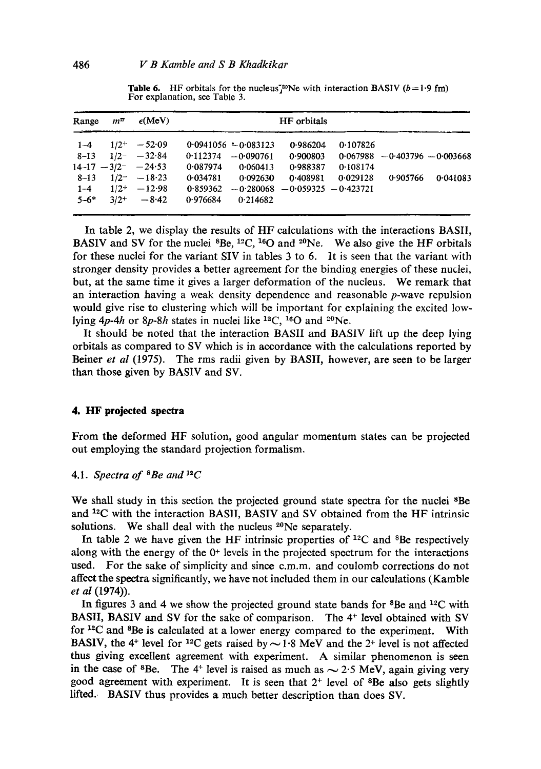| Range    | $m^{\pi}$ | $\epsilon$ (MeV)       | HF orbitals |                        |                                     |          |                                  |          |  |  |
|----------|-----------|------------------------|-------------|------------------------|-------------------------------------|----------|----------------------------------|----------|--|--|
| $1 - 4$  | $1/2^{+}$ | $-52.09$               |             | $0.0941056 - 0.083123$ | 0.986204                            | 0.107826 |                                  |          |  |  |
| $8 - 13$ | $1/2^{-}$ | $-32.84$               | 0.112374    | $-0.090761$            | 0.900803                            |          | $0.067988 - 0.403796 - 0.003668$ |          |  |  |
|          |           | $14-17 - 3/2 - -24.53$ | 0.087974    | 0.060413               | 0.988387                            | 0.108174 |                                  |          |  |  |
| $8 - 13$ |           | $1/2^- - 18.23$        | 0.034781    | 0.092630               | 0.408981                            | 0.029128 | 0.905766                         | 0.041083 |  |  |
| $1 - 4$  | $1/2+$    | $-12.98$               | 0.859362    |                        | $-0.280068$ $-0.059325$ $-0.423721$ |          |                                  |          |  |  |
| $5 - 6*$ | $3/2+$    | $-8.42$                | 0.976684    | 0.214682               |                                     |          |                                  |          |  |  |
|          |           |                        |             |                        |                                     |          |                                  |          |  |  |

**Table 6.** HF orbitals for the nucleus<sup>720</sup>Ne with interaction BASIV ( $b = 1.9$  fm) For explanation, see Table 3.

In table 2, we display the results of HF calculations with the interactions BASIl, BASIV and SV for the nuclei  ${}^{8}Be$ ,  ${}^{12}C$ ,  ${}^{16}O$  and  ${}^{20}Ne$ . We also give the HF orbitals for these nuclei for the variant SIV in tables 3 to 6. It is seen that the variant with stronger density provides a better agreement for the binding energies of these nuclei, but, at the same time it gives a larger deformation of the nucleus. We remark that an interaction having a weak density dependence and reasonable  $p$ -wave repulsion would give rise to clustering which will be important for explaining the excited lowlying 4p-4h or 8p-8h states in nuclei like <sup>12</sup>C, <sup>16</sup>O and <sup>20</sup>Ne.

It should be noted that the interaction BASIl and BASIV lift up the deep lying orbitals as compared to SV which is in accordance with the calculations reported by Beiner *et al* (1975). The rms radii given by BASII, however, are seen to be larger than those given by BASIV and SV.

## **4. HF projected spectra**

From the deformed HF solution, good angular momentum states can be projected out employing the standard projection formalism.

## 4.1. *Spectra of SBe and 12C*

We shall study in this section the projected ground state spectra for the nuclei <sup>8</sup>Be and  $^{12}$ C with the interaction BASII, BASIV and SV obtained from the HF intrinsic solutions. We shall deal with the nucleus <sup>20</sup>Ne separately.

In table 2 we have given the HF intrinsic properties of  $12^{\circ}$ C and  $8^{\circ}$ Be respectively along with the energy of the  $0<sup>+</sup>$  levels in the projected spectrum for the interactions used. For the sake of simplicity and since c.m.m, and coulomb corrections do not affect the spectra significantly, we have not included them in our calculations (Kamble *et al* (1974)).

In figures 3 and 4 we show the projected ground state bands for  ${}^{8}$ Be and  ${}^{12}$ C with BASII, BASIV and SV for the sake of comparison. The 4<sup>+</sup> level obtained with SV for  ${}^{12}C$  and  ${}^{8}Be$  is calculated at a lower energy compared to the experiment. With BASIV, the 4<sup>+</sup> level for <sup>12</sup>C gets raised by  $\sim$  1.8 MeV and the 2<sup>+</sup> level is not affected thus giving excellent agreement with experiment. A similar phenomenon is seen in the case of <sup>8</sup>Be. The 4<sup>+</sup> level is raised as much as  $\sim$  2.5 MeV, again giving very good agreement with experiment. It is seen that  $2^+$  level of <sup>8</sup>Be also gets slightly lifted. BASIV thus provides a much better description than does SV.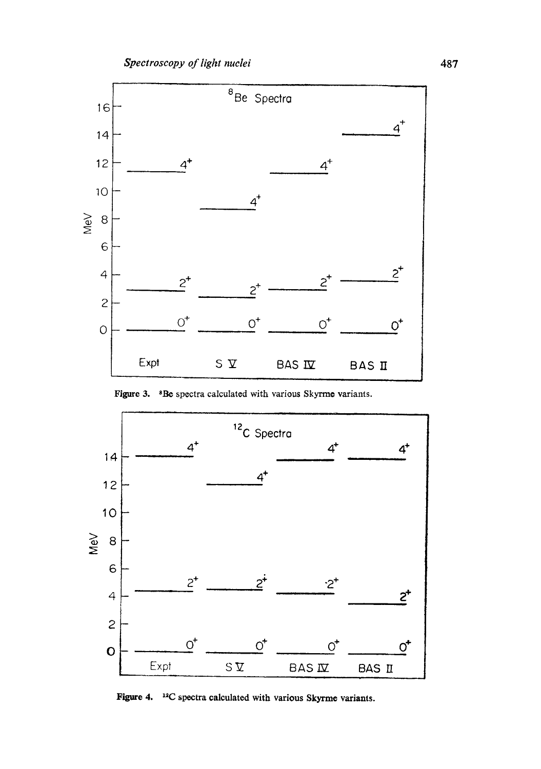

Figure 3. <sup>8</sup>Be spectra calculated with various Skyrme variants.



Figure 4. <sup>12</sup>C spectra calculated with various Skyrme variants.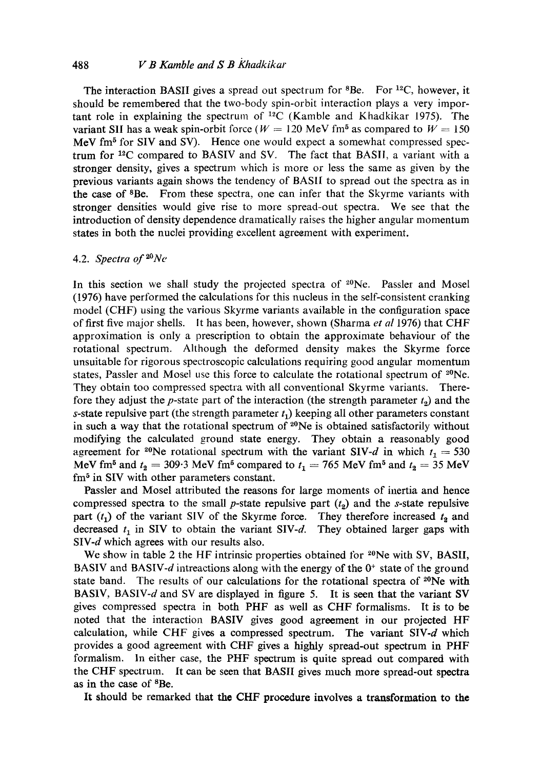## 488 *V B Kamble and S B Khadkikar*

The interaction BASII gives a spread out spectrum for  $8Be$ . For  $^{12}C$ , however, it should be remembered that the two-body spin-orbit interaction plays a very important role in explaining the spectrum of  ${}^{12}C$  (Kamble and Khadkikar 1975). The variant SII has a weak spin-orbit force ( $W = 120$  MeV fm<sup>5</sup> as compared to  $W = 150$ MeV fm<sup>5</sup> for SIV and SV). Hence one would expect a somewhat compressed spectrum for  $12^{\circ}$ C compared to BASIV and SV. The fact that BASII, a variant with a stronger density, gives a spectrum which is more or less the same as given by the previous variants again shows the tendency of BASH to spread out the spectra as in the case of 8Be. From these spectra, one can infer that the Skyrme variants with stronger densities would give rise to more spread-out spectra. We see that the introduction of density dependence dramatically raises the higher angular momentum states in both the nuclei providing excellent agreement with experiment.

# 4.2. *Spectra of~°Ne*

In this section we shall study the projected spectra of  $2^0$ Ne. Passler and Mosel (1976) have performed the calculations for this nucleus in the self-consistent cranking model (CHF) using the various Skyrme variants available in the configuration space of first five major shells. It has been, however, shown (Sharma *et al* 1976) that CHF approximation is only a prescription to obtain the approximate behaviour of the rotational spectrum. Although the deformed density makes the Skyrme force unsuitable for rigorous spectroscopic calculations requiring good angular momentum states, Passler and Mosel use this force to calculate the rotational spectrum of  $2^{0}Ne$ . They obtain too compressed spectra with all conventional Skyrme variants. Therefore they adjust the p-state part of the interaction (the strength parameter  $t_2$ ) and the s-state repulsive part (the strength parameter  $t_1$ ) keeping all other parameters constant in such a way that the rotational spectrum of <sup>20</sup>Ne is obtained satisfactorily without modifying the calculated ground state energy. They obtain a reasonably good agreement for <sup>20</sup>Ne rotational spectrum with the variant SIV-d in which  $t_1 = 530$ MeV fm<sup>5</sup> and  $t_2 = 309.3$  MeV fm<sup>5</sup> compared to  $t_1 = 765$  MeV fm<sup>5</sup> and  $t_2 = 35$  MeV fm<sup>5</sup> in SIV with other parameters constant.

Passler and Mosel attributed the reasons for large moments of inertia and hence compressed spectra to the small p-state repulsive part  $(t_2)$  and the s-state repulsive part  $(t_1)$  of the variant SIV of the Skyrme force. They therefore increased  $t_2$  and decreased  $t_1$  in SIV to obtain the variant SIV-d. They obtained larger gaps with SIV-d which agrees with our results also.

We show in table 2 the HF intrinsic properties obtained for  $2^0$ Ne with SV, BASII, BASIV and BASIV-d intreactions along with the energy of the  $0<sup>+</sup>$  state of the ground state band. The results of our calculations for the rotational spectra of  $20Ne$  with BASIV, BASIV-d and SV are displayed in figure 5. It is seen that the variant SV gives compressed spectra in both PHF as well as CHF formalisms. It is to be noted that the interaction BASIV gives good agreement in our projected HF calculation, while CHF gives a compressed spectrum. The variant  $SIV-d$  which provides a good agreement with CHF gives a highly spread-out spectrum in PHF formalism. In either case, the PHF spectrum is quite spread out compared with the CHF spectrum. It can be seen that BASII gives much more spread-out spectra as in the case of <sup>8</sup>Be.

It should be remarked that the CHF procedure involves a transformation to the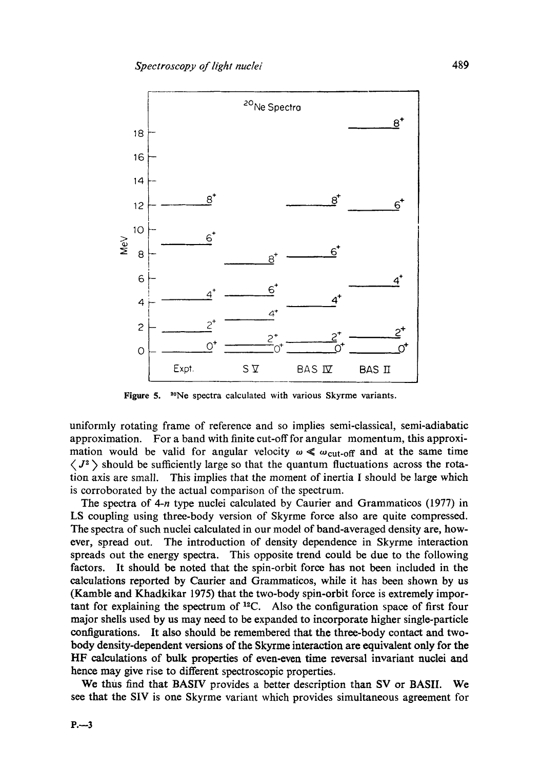

Figure 5. 2°Ne spectra calculated with various Skyrme variants.

uniformly rotating frame of reference and so implies semi-classical, semi-adiabatic approximation. For a band with finite cut-off for angular momentum, this approximation would be valid for angular velocity  $\omega \ll \omega_{\text{cut-off}}$  and at the same time  $\langle J^2 \rangle$  should be sufficiently large so that the quantum fluctuations across the rotation axis are small. This implies that the moment of inertia I should be large which is corroborated by the actual comparison of the spectrum.

The spectra of  $4-n$  type nuclei calculated by Caurier and Grammaticos (1977) in LS coupling using three-body version of Skyrme force also are quite compressed. The spectra of such nuclei calculated in our model of band-averaged density are, however, spread out. The introduction of density dependence in Skyrme interaction spreads out the energy spectra. This opposite trend could be due to the following factors. It should be noted that the spin-orbit force has not been included in the calculations reported by Caurier and Grammaticos, while it has been shown by us (Kamble and Khadkikar 1975) that the two-body spin-orbit force is extremely important for explaining the spectrum of  $^{12}C$ . Also the configuration space of first four major shells used by us may need to be expanded to incorporate higher single-particle configurations. It also should be remembered that the three-body contact and twobody density-dependent versions of the Skyrme interaction are equivalent only for the HF calculations of bulk properties of even-even time reversal invariant nuclei and hence may give rise to different spectroscopic properties.

We thus find that BASIV provides a better description than SV or BASIL We see that the SIV is one Skyrme variant which provides simultaneous agreement for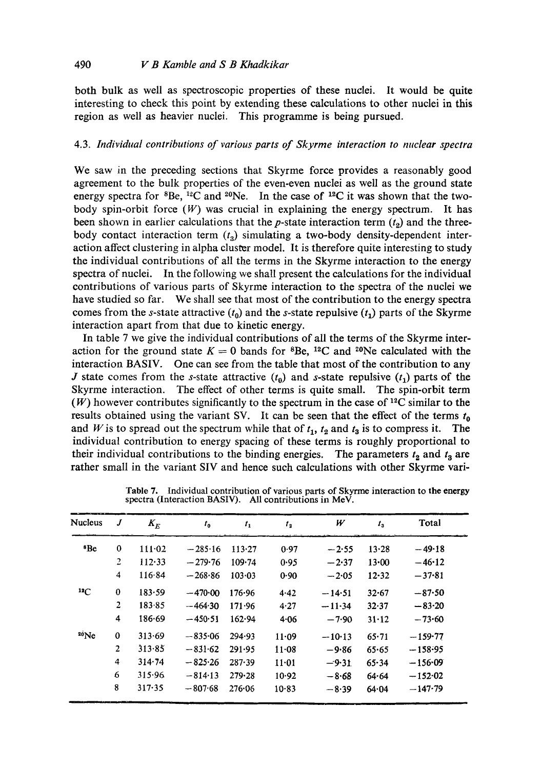both bulk as well as spectroscopic properties of these nuclei. It would be quite interesting to check this point by extending these calculations to other nuclei in this region as well as heavier nuclei. This programme is being pursued.

# 4.3. *Individual contributions of various parts of Skyrme interaction to nuclear spectra*

We saw in the preceding sections that Skyrme force provides a reasonably good agreement to the bulk properties of the even-even nuclei as well as the ground state energy spectra for  ${}^{8}Be$ ,  ${}^{12}C$  and  ${}^{20}Ne$ . In the case of  ${}^{12}C$  it was shown that the twobody spin-orbit force  $(W)$  was crucial in explaining the energy spectrum. It has been shown in earlier calculations that the p-state interaction term  $(t_2)$  and the threebody contact interaction term  $(t<sub>o</sub>)$  simulating a two-body density-dependent interaction affect clustering in alpha cluster model. It is therefore quite interesting to study the individual contributions of all the terms in the Skyrme interaction to the energy spectra of nuclei. In the following we shall present the calculations for the individual contributions of various parts of Skyrme interaction to the spectra of the nuclei we have studied so far. We shall see that most of the contribution to the energy spectra comes from the s-state attractive  $(t_0)$  and the s-state repulsive  $(t_1)$  parts of the Skyrme interaction apart from that due to kinetic energy.

In table 7 we give the individual contributions of all the terms of the Skyrme interaction for the ground state  $K = 0$  bands for <sup>8</sup>Be, <sup>12</sup>C and <sup>20</sup>Ne calculated with the interaction BASIV. One can see from the table that most of the contribution to any J state comes from the s-state attractive  $(t_0)$  and s-state repulsive  $(t_1)$  parts of the Skyrme interaction. The effect of other terms is quite small. The spin-orbit term  $(W)$  however contributes significantly to the spectrum in the case of <sup>12</sup>C similar to the results obtained using the variant SV. It can be seen that the effect of the terms  $t_0$ and W is to spread out the spectrum while that of  $t_1$ ,  $t_2$  and  $t_3$  is to compress it. The individual contribution to energy spacing of these terms is roughly proportional to their individual contributions to the binding energies. The parameters  $t_2$  and  $t_3$  are rather small in the variant SIV and hence such calculations with other Skyrme vari-

| <b>Nucleus</b>  | J              | $K_E$  | $t_{0}$   | $t_{1}$    | $t_{2}$   | W        | $t_{3}$   | Total     |
|-----------------|----------------|--------|-----------|------------|-----------|----------|-----------|-----------|
| <sup>8</sup> Be | $\bf{0}$       | 111.02 | $-285.16$ | 113.27     | 0.97      | $-2.55$  | 13.28     | $-49.18$  |
|                 | 2              | 112.33 | $-279.76$ | 109.74     | 0.95      | $-2.37$  | 13.00     | $-46.12$  |
|                 | 4              | 116.84 | $-268.86$ | 103.03     | 0.90      | $-2.05$  | 12.32     | $-37.81$  |
| $^{12}C$        | $\bf{0}$       | 183.59 | $-470.00$ | 176.96     | 4.42      | $-14.51$ | $32 - 67$ | $-87.50$  |
|                 | $\overline{2}$ | 183.85 | $-464.30$ | 171.96     | 4.27      | $-11.34$ | 32.37     | $-83.20$  |
|                 | 4              | 186.69 | $-450.51$ | 162.94     | 4.06      | $-7.90$  | 31.12     | $-73.60$  |
| 20Ne            | $\bf{0}$       | 313.69 | $-835.06$ | 294.93     | 11.09     | $-10.13$ | 65.71     | $-159.77$ |
|                 | $\overline{2}$ | 313.85 | $-831.62$ | 291.95     | $11 - 08$ | $-9.86$  | 65.65     | $-158.95$ |
|                 | 4              | 314.74 | $-825.26$ | 287.39     | $11 - 01$ | $-9.31$  | 65.34     | $-156.09$ |
|                 | 6              | 315.96 | $-814.13$ | 279.28     | 10.92     | $-8.68$  | 64.64     | $-152.02$ |
|                 | 8              | 317.35 | $-807.68$ | $276 - 06$ | 10.83     | $-8.39$  | 64.04     | $-147.79$ |

Table 7. Individual contribution of various parts of Skyrme interaction to the energy spectra (Interaction BASIV). All contributions in MeV.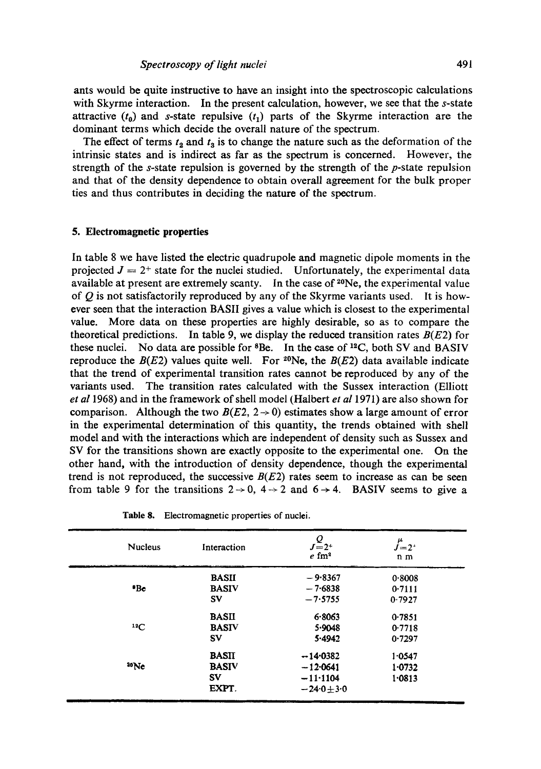ants would be quite instructive to have an insight into the spectroscopic calculations with Skyrme interaction. In the present calculation, however, we see that the s-state attractive  $(t_0)$  and s-state repulsive  $(t_1)$  parts of the Skyrme interaction are the dominant terms which decide the overall nature of the spectrum.

The effect of terms  $t_2$  and  $t_3$  is to change the nature such as the deformation of the intrinsic states and is indirect as far as the spectrum is concerned. However, the strength of the  $s$ -state repulsion is governed by the strength of the  $p$ -state repulsion and that of the density dependence to obtain overall agreement for the bulk proper ties and thus contributes in deciding the nature of the spectrum.

## **5. Electromagnetic properties**

In table 8 we have listed the electric quadrupole and magnetic dipole moments in the projected  $J = 2^+$  state for the nuclei studied. Unfortunately, the experimental data available at present are extremely scanty. In the case of  $2^{\circ}$ Ne, the experimental value of  $Q$  is not satisfactorily reproduced by any of the Skyrme variants used. It is however seen that the interaction BASIl gives a value which is closest to the experimental value. More data on these properties are highly desirable, so as to compare the theoretical predictions. In table 9, we display the reduced transition rates  $B(E2)$  for these nuclei. No data are possible for  ${}^{8}Be$ . In the case of  ${}^{12}C$ , both SV and BASIV reproduce the  $B(E2)$  values quite well. For <sup>20</sup>Ne, the  $B(E2)$  data available indicate that the trend of experimental transition rates cannot be reproduced by any of the variants used. The transition rates calculated with the Sussex interaction (Elliott *et a11968)* and in the framework of shell model (Halbert *et al* 1971) are also shown for comparison. Although the two  $B(E2, 2 \rightarrow 0)$  estimates show a large amount of error in the experimental determination of this quantity, the trends obtained with shell model and with the interactions which are independent of density such as Sussex and SV for the transitions shown are exactly opposite to the experimental one. On the other hand, with the introduction of density dependence, though the experimental trend is not reproduced, the successive  $B(E2)$  rates seem to increase as can be seen from table 9 for the transitions  $2 \rightarrow 0$ ,  $4 \rightarrow 2$  and  $6 \rightarrow 4$ . BASIV seems to give a

| <b>Nucleus</b> | Interaction  | $J_{=2^{+}}^{Q}$<br>$e \, \text{fm}^2$ | $\int_{-2^+}^{\mu}$<br>n <sub>m</sub> |
|----------------|--------------|----------------------------------------|---------------------------------------|
|                | <b>BASII</b> | $-9.8367$                              | 0.8008                                |
| *Be            | <b>BASIV</b> | $-7.6838$                              | 0.7111                                |
|                | <b>SV</b>    | $-7.5755$                              | 0.7927                                |
|                | <b>BASII</b> | 6.8063                                 | 0.7851                                |
| 12C            | <b>BASIV</b> | 5.9048                                 | 0.7718                                |
|                | $S_{V}$      | 5.4942                                 | 0.7297                                |
|                | <b>BASII</b> | $-14.0382$                             | 1.0547                                |
| 30Ne           | <b>BASIV</b> | $-12.0641$                             | 1.0732                                |
|                | <b>SV</b>    | $-11.1104$                             | 1.0813                                |
|                | EXPT.        | $-24.0 + 3.0$                          |                                       |

**Table** 8. Electromagnetic properties of nuclei.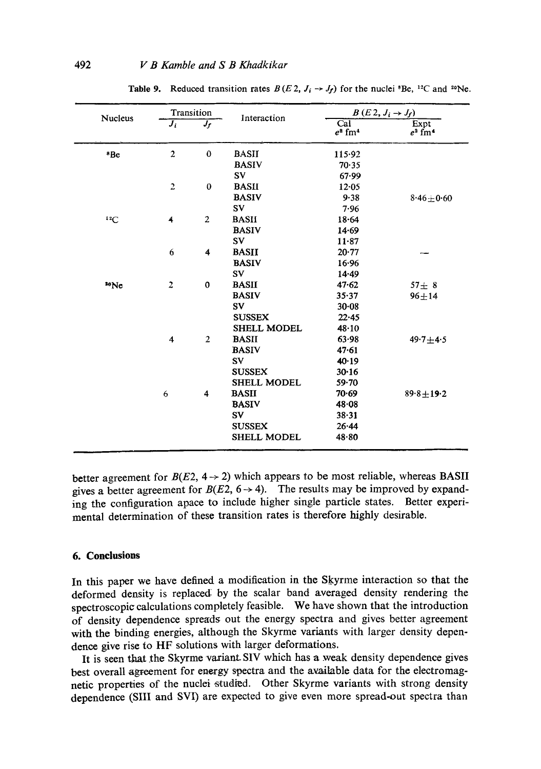| <b>Nucleus</b>  |                         | Transition              | Interaction        |                                                  | $B(E2, J_i \rightarrow J_f)$  |
|-----------------|-------------------------|-------------------------|--------------------|--------------------------------------------------|-------------------------------|
|                 | $\overline{J_i}$        | $J_f$                   |                    | $\overline{\text{Cal}}$<br>$e^2$ fm <sup>4</sup> | Expt<br>$e^2$ fm <sup>4</sup> |
| <sup>8</sup> Be | $\overline{\mathbf{c}}$ | $\bf{0}$                | <b>BASII</b>       | 115.92                                           |                               |
|                 |                         |                         | <b>BASIV</b>       | 70.35                                            |                               |
|                 |                         |                         | <b>SV</b>          | 67.99                                            |                               |
|                 | $\overline{c}$          | $\bf{0}$                | <b>BASII</b>       | 12.05                                            |                               |
|                 |                         |                         | <b>BASIV</b>       | 9.38                                             | $8.46 \pm 0.60$               |
|                 |                         |                         | $S_{V}$            | 7.96                                             |                               |
| $^{12}C$        | 4                       | $\overline{2}$          | <b>BASH</b>        | 18.64                                            |                               |
|                 |                         |                         | <b>BASIV</b>       | 14.69                                            |                               |
|                 |                         |                         | SV                 | $11 - 87$                                        |                               |
|                 | 6                       | $\overline{\bf{4}}$     | <b>BASII</b>       | 20.77                                            |                               |
|                 |                         |                         | <b>BASIV</b>       | 16.96                                            |                               |
|                 |                         |                         | <b>SV</b>          | $14 - 49$                                        |                               |
| 30 <sub>0</sub> | $\overline{2}$          | $\mathbf 0$             | <b>BASII</b>       | 47.62                                            | $57 + 8$                      |
|                 |                         |                         | <b>BASIV</b>       | 35.37                                            | $96 + 14$                     |
|                 |                         |                         | SV.                | $30 - 08$                                        |                               |
|                 |                         |                         | <b>SUSSEX</b>      | $22 - 45$                                        |                               |
|                 |                         |                         | <b>SHELL MODEL</b> | 48.10                                            |                               |
|                 | $\overline{4}$          | $\overline{2}$          | <b>BASII</b>       | 63.98                                            | $49.7 + 4.5$                  |
|                 |                         |                         | <b>BASIV</b>       | 47.61                                            |                               |
|                 |                         |                         | <b>SV</b>          | 40.19                                            |                               |
|                 |                         |                         | <b>SUSSEX</b>      | 30.16                                            |                               |
|                 |                         |                         | <b>SHELL MODEL</b> | $59 - 70$                                        |                               |
|                 | 6                       | $\overline{\mathbf{4}}$ | <b>BASII</b>       | 70.69                                            | $89.8 \pm 19.2$               |
|                 |                         |                         | <b>BASIV</b>       | $48 - 08$                                        |                               |
|                 |                         |                         | SV                 | 38.31                                            |                               |
|                 |                         |                         | <b>SUSSEX</b>      | 26.44                                            |                               |
|                 |                         |                         | <b>SHELL MODEL</b> | 48.80                                            |                               |

Table 9. Reduced transition rates  $B(E_2, J_i \rightarrow J_f)$  for the nuclei <sup>8</sup>Be, <sup>12</sup>C and <sup>20</sup>Ne.

better agreement for  $B(E2, 4 \rightarrow 2)$  which appears to be most reliable, whereas BASII gives a better agreement for  $B(E2, 6 \rightarrow 4)$ . The results may be improved by expanding the configuration apace to include higher single particle states. Better experimental determination of these transition rates is therefore highly desirable.

# **6. Conclusions**

In this paper we have defined a modification in the Skyrme interaction so that the deformed density is replaced: by the scalar band averaged density rendering the spectroscopic calculations completely feasible. We have shown that the introduction of density dependence spreads out the energy spectra and gives better agreement with the binding energies, although the Skyrme variants with larger density dependence give rise to HF solutions with larger deformations.

It is seen that the Skyrme variant- SIV which has a weak density dependence gives best overall agreement for energy spectra and the available data for the electromagnetic properties of the nuclei studied. Other Skyrme variants with strong density dependence (SIII and SVI) are expected to give even more spread-out spectra than